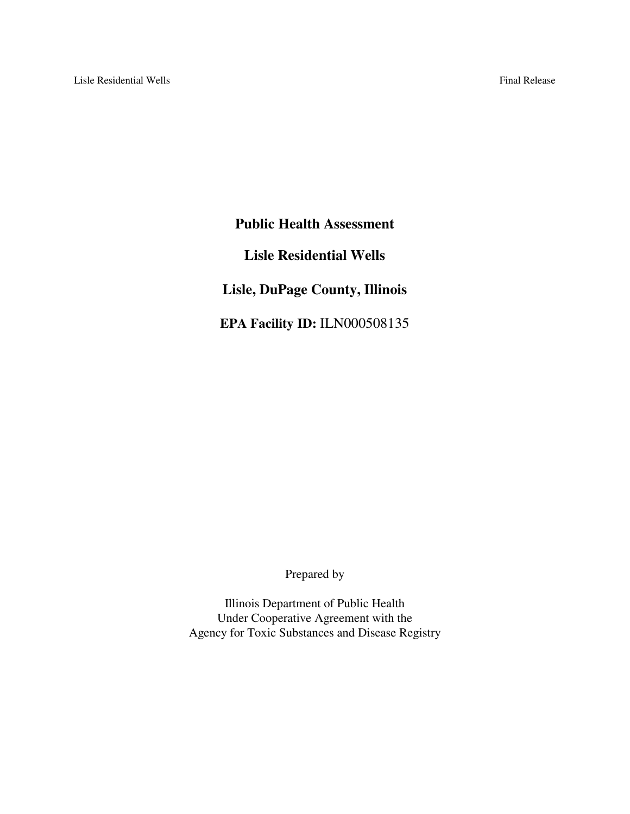**Public Health Assessment Lisle Residential Wells Lisle, DuPage County, Illinois EPA Facility ID:** ILN000508135

Prepared by

Illinois Department of Public Health Under Cooperative Agreement with the Agency for Toxic Substances and Disease Registry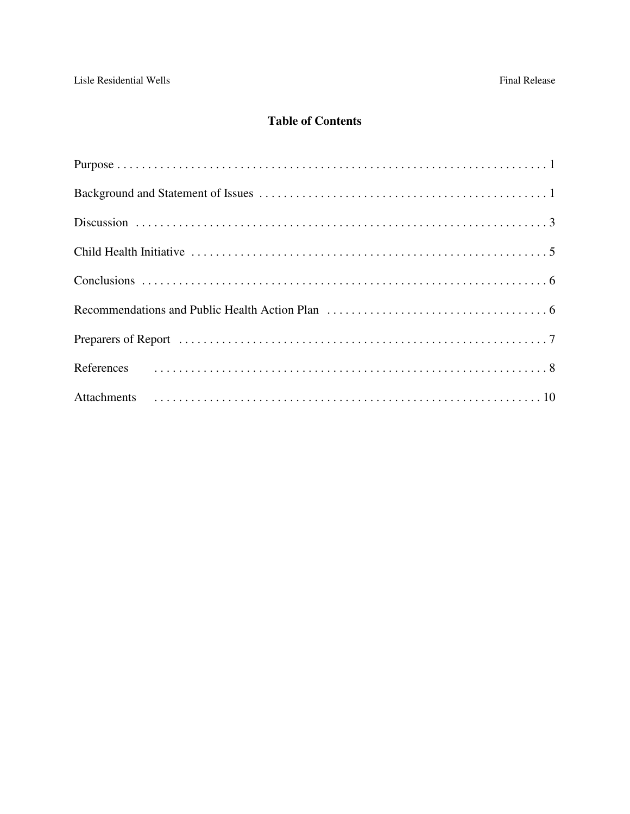# **Table of Contents**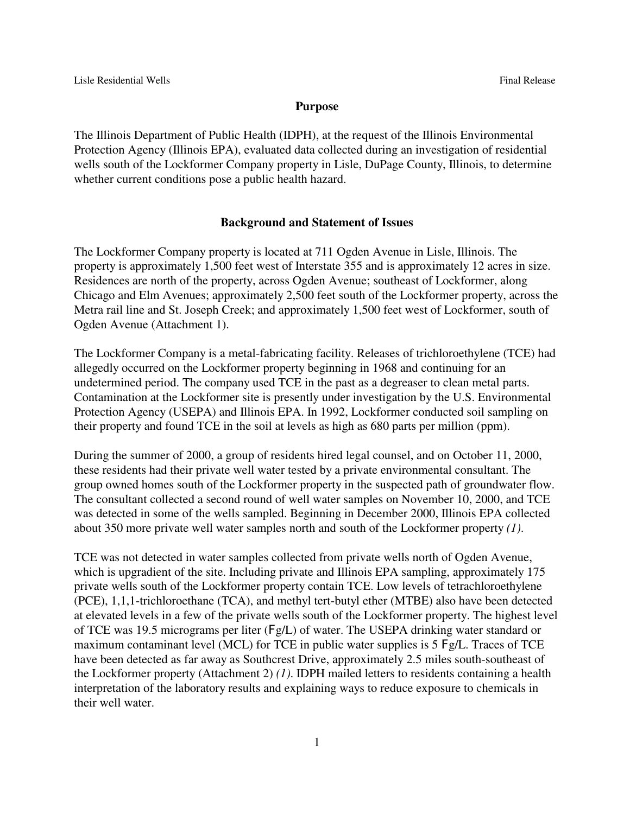#### **Purpose**

The Illinois Department of Public Health (IDPH), at the request of the Illinois Environmental Protection Agency (Illinois EPA), evaluated data collected during an investigation of residential wells south of the Lockformer Company property in Lisle, DuPage County, Illinois, to determine whether current conditions pose a public health hazard.

#### **Background and Statement of Issues**

The Lockformer Company property is located at 711 Ogden Avenue in Lisle, Illinois. The property is approximately 1,500 feet west of Interstate 355 and is approximately 12 acres in size. Residences are north of the property, across Ogden Avenue; southeast of Lockformer, along Chicago and Elm Avenues; approximately 2,500 feet south of the Lockformer property, across the Metra rail line and St. Joseph Creek; and approximately 1,500 feet west of Lockformer, south of Ogden Avenue (Attachment 1).

The Lockformer Company is a metal-fabricating facility. Releases of trichloroethylene (TCE) had allegedly occurred on the Lockformer property beginning in 1968 and continuing for an undetermined period. The company used TCE in the past as a degreaser to clean metal parts. Contamination at the Lockformer site is presently under investigation by the U.S. Environmental Protection Agency (USEPA) and Illinois EPA. In 1992, Lockformer conducted soil sampling on their property and found TCE in the soil at levels as high as 680 parts per million (ppm).

During the summer of 2000, a group of residents hired legal counsel, and on October 11, 2000, these residents had their private well water tested by a private environmental consultant. The group owned homes south of the Lockformer property in the suspected path of groundwater flow. The consultant collected a second round of well water samples on November 10, 2000, and TCE was detected in some of the wells sampled. Beginning in December 2000, Illinois EPA collected about 350 more private well water samples north and south of the Lockformer property *(1)*.

TCE was not detected in water samples collected from private wells north of Ogden Avenue, which is upgradient of the site. Including private and Illinois EPA sampling, approximately 175 private wells south of the Lockformer property contain TCE. Low levels of tetrachloroethylene (PCE), 1,1,1-trichloroethane (TCA), and methyl tert-butyl ether (MTBE) also have been detected at elevated levels in a few of the private wells south of the Lockformer property. The highest level of TCE was 19.5 micrograms per liter (Fg/L) of water. The USEPA drinking water standard or maximum contaminant level (MCL) for TCE in public water supplies is 5 Fg/L. Traces of TCE have been detected as far away as Southcrest Drive, approximately 2.5 miles south-southeast of the Lockformer property (Attachment 2) *(1)*. IDPH mailed letters to residents containing a health interpretation of the laboratory results and explaining ways to reduce exposure to chemicals in their well water.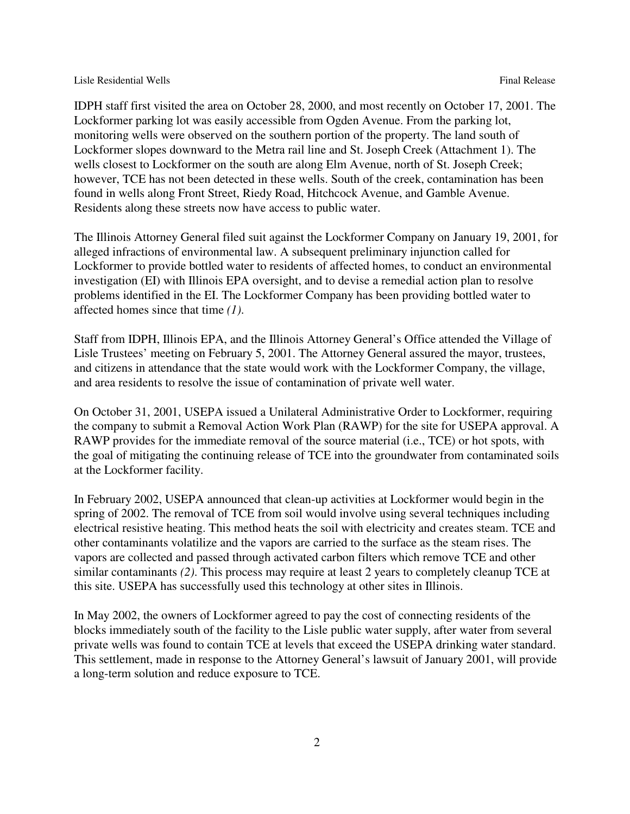#### Lisle Residential Wells **Final Release** Final Release

IDPH staff first visited the area on October 28, 2000, and most recently on October 17, 2001. The Lockformer parking lot was easily accessible from Ogden Avenue. From the parking lot, monitoring wells were observed on the southern portion of the property. The land south of Lockformer slopes downward to the Metra rail line and St. Joseph Creek (Attachment 1). The wells closest to Lockformer on the south are along Elm Avenue, north of St. Joseph Creek; however, TCE has not been detected in these wells. South of the creek, contamination has been found in wells along Front Street, Riedy Road, Hitchcock Avenue, and Gamble Avenue. Residents along these streets now have access to public water.

The Illinois Attorney General filed suit against the Lockformer Company on January 19, 2001, for alleged infractions of environmental law. A subsequent preliminary injunction called for Lockformer to provide bottled water to residents of affected homes, to conduct an environmental investigation (EI) with Illinois EPA oversight, and to devise a remedial action plan to resolve problems identified in the EI. The Lockformer Company has been providing bottled water to affected homes since that time *(1)*.

Staff from IDPH, Illinois EPA, and the Illinois Attorney General's Office attended the Village of Lisle Trustees' meeting on February 5, 2001. The Attorney General assured the mayor, trustees, and citizens in attendance that the state would work with the Lockformer Company, the village, and area residents to resolve the issue of contamination of private well water.

On October 31, 2001, USEPA issued a Unilateral Administrative Order to Lockformer, requiring the company to submit a Removal Action Work Plan (RAWP) for the site for USEPA approval. A RAWP provides for the immediate removal of the source material (i.e., TCE) or hot spots, with the goal of mitigating the continuing release of TCE into the groundwater from contaminated soils at the Lockformer facility.

In February 2002, USEPA announced that clean-up activities at Lockformer would begin in the spring of 2002. The removal of TCE from soil would involve using several techniques including electrical resistive heating. This method heats the soil with electricity and creates steam. TCE and other contaminants volatilize and the vapors are carried to the surface as the steam rises. The vapors are collected and passed through activated carbon filters which remove TCE and other similar contaminants *(2)*. This process may require at least 2 years to completely cleanup TCE at this site. USEPA has successfully used this technology at other sites in Illinois.

In May 2002, the owners of Lockformer agreed to pay the cost of connecting residents of the blocks immediately south of the facility to the Lisle public water supply, after water from several private wells was found to contain TCE at levels that exceed the USEPA drinking water standard. This settlement, made in response to the Attorney General's lawsuit of January 2001, will provide a long-term solution and reduce exposure to TCE.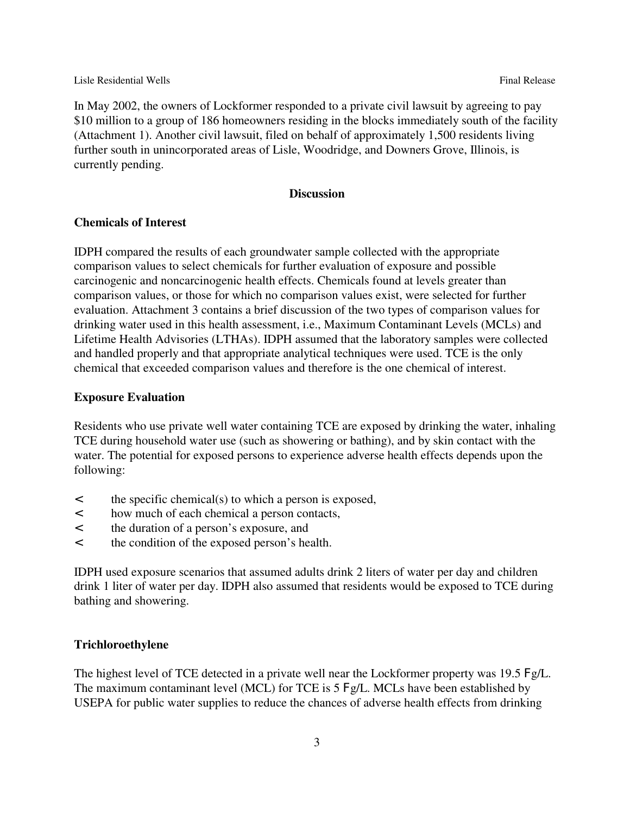In May 2002, the owners of Lockformer responded to a private civil lawsuit by agreeing to pay \$10 million to a group of 186 homeowners residing in the blocks immediately south of the facility (Attachment 1). Another civil lawsuit, filed on behalf of approximately 1,500 residents living further south in unincorporated areas of Lisle, Woodridge, and Downers Grove, Illinois, is currently pending.

#### **Discussion**

#### **Chemicals of Interest**

IDPH compared the results of each groundwater sample collected with the appropriate comparison values to select chemicals for further evaluation of exposure and possible carcinogenic and noncarcinogenic health effects. Chemicals found at levels greater than comparison values, or those for which no comparison values exist, were selected for further evaluation. Attachment 3 contains a brief discussion of the two types of comparison values for drinking water used in this health assessment, i.e., Maximum Contaminant Levels (MCLs) and Lifetime Health Advisories (LTHAs). IDPH assumed that the laboratory samples were collected and handled properly and that appropriate analytical techniques were used. TCE is the only chemical that exceeded comparison values and therefore is the one chemical of interest.

#### **Exposure Evaluation**

Residents who use private well water containing TCE are exposed by drinking the water, inhaling TCE during household water use (such as showering or bathing), and by skin contact with the water. The potential for exposed persons to experience adverse health effects depends upon the following:

- < the specific chemical(s) to which a person is exposed,
- < how much of each chemical a person contacts,
- < the duration of a person's exposure, and
- < the condition of the exposed person's health.

IDPH used exposure scenarios that assumed adults drink 2 liters of water per day and children drink 1 liter of water per day. IDPH also assumed that residents would be exposed to TCE during bathing and showering.

#### **Trichloroethylene**

The highest level of TCE detected in a private well near the Lockformer property was 19.5 Fg/L. The maximum contaminant level (MCL) for TCE is 5 Fg/L. MCLs have been established by USEPA for public water supplies to reduce the chances of adverse health effects from drinking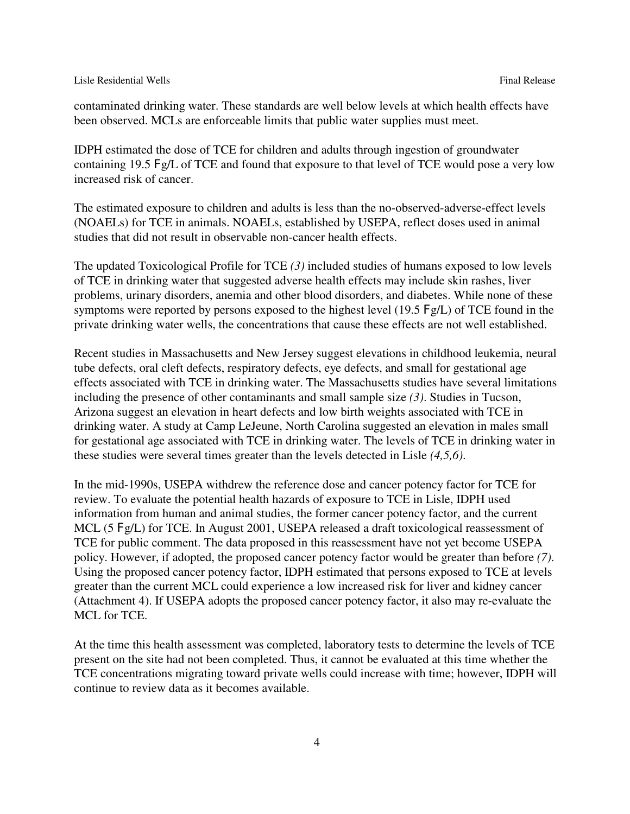contaminated drinking water. These standards are well below levels at which health effects have been observed. MCLs are enforceable limits that public water supplies must meet.

IDPH estimated the dose of TCE for children and adults through ingestion of groundwater containing 19.5 Fg/L of TCE and found that exposure to that level of TCE would pose a very low increased risk of cancer.

The estimated exposure to children and adults is less than the no-observed-adverse-effect levels (NOAELs) for TCE in animals. NOAELs, established by USEPA, reflect doses used in animal studies that did not result in observable non-cancer health effects.

The updated Toxicological Profile for TCE *(3)* included studies of humans exposed to low levels of TCE in drinking water that suggested adverse health effects may include skin rashes, liver problems, urinary disorders, anemia and other blood disorders, and diabetes. While none of these symptoms were reported by persons exposed to the highest level (19.5 Fg/L) of TCE found in the private drinking water wells, the concentrations that cause these effects are not well established.

Recent studies in Massachusetts and New Jersey suggest elevations in childhood leukemia, neural tube defects, oral cleft defects, respiratory defects, eye defects, and small for gestational age effects associated with TCE in drinking water. The Massachusetts studies have several limitations including the presence of other contaminants and small sample size *(3)*. Studies in Tucson, Arizona suggest an elevation in heart defects and low birth weights associated with TCE in drinking water. A study at Camp LeJeune, North Carolina suggested an elevation in males small for gestational age associated with TCE in drinking water. The levels of TCE in drinking water in these studies were several times greater than the levels detected in Lisle *(4,5,6)*.

In the mid-1990s, USEPA withdrew the reference dose and cancer potency factor for TCE for review. To evaluate the potential health hazards of exposure to TCE in Lisle, IDPH used information from human and animal studies, the former cancer potency factor, and the current MCL (5 Fg/L) for TCE. In August 2001, USEPA released a draft toxicological reassessment of TCE for public comment. The data proposed in this reassessment have not yet become USEPA policy. However, if adopted, the proposed cancer potency factor would be greater than before *(7)*. Using the proposed cancer potency factor, IDPH estimated that persons exposed to TCE at levels greater than the current MCL could experience a low increased risk for liver and kidney cancer (Attachment 4). If USEPA adopts the proposed cancer potency factor, it also may re-evaluate the MCL for TCE.

At the time this health assessment was completed, laboratory tests to determine the levels of TCE present on the site had not been completed. Thus, it cannot be evaluated at this time whether the TCE concentrations migrating toward private wells could increase with time; however, IDPH will continue to review data as it becomes available.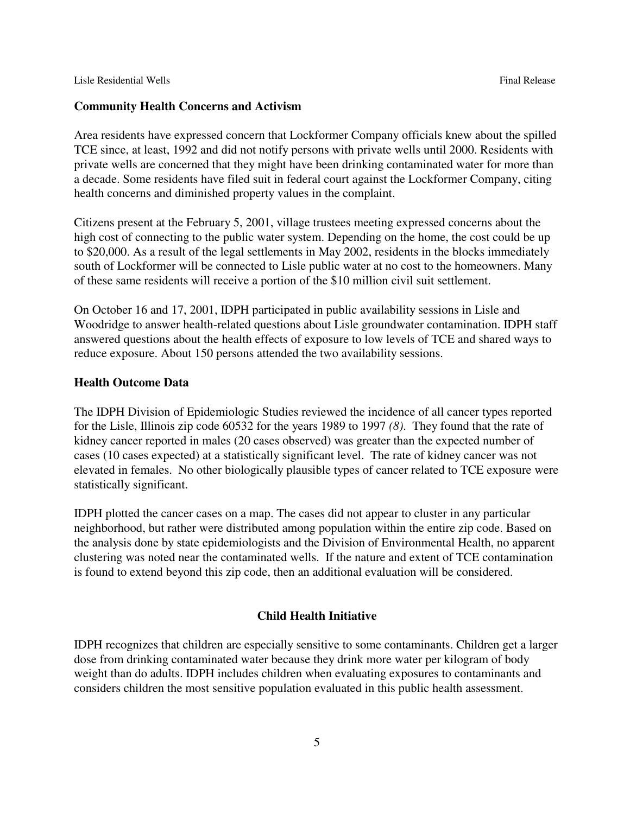#### **Community Health Concerns and Activism**

Area residents have expressed concern that Lockformer Company officials knew about the spilled TCE since, at least, 1992 and did not notify persons with private wells until 2000. Residents with private wells are concerned that they might have been drinking contaminated water for more than a decade. Some residents have filed suit in federal court against the Lockformer Company, citing health concerns and diminished property values in the complaint.

Citizens present at the February 5, 2001, village trustees meeting expressed concerns about the high cost of connecting to the public water system. Depending on the home, the cost could be up to \$20,000. As a result of the legal settlements in May 2002, residents in the blocks immediately south of Lockformer will be connected to Lisle public water at no cost to the homeowners. Many of these same residents will receive a portion of the \$10 million civil suit settlement.

On October 16 and 17, 2001, IDPH participated in public availability sessions in Lisle and Woodridge to answer health-related questions about Lisle groundwater contamination. IDPH staff answered questions about the health effects of exposure to low levels of TCE and shared ways to reduce exposure. About 150 persons attended the two availability sessions.

#### **Health Outcome Data**

The IDPH Division of Epidemiologic Studies reviewed the incidence of all cancer types reported for the Lisle, Illinois zip code 60532 for the years 1989 to 1997 *(8)*. They found that the rate of kidney cancer reported in males (20 cases observed) was greater than the expected number of cases (10 cases expected) at a statistically significant level. The rate of kidney cancer was not elevated in females. No other biologically plausible types of cancer related to TCE exposure were statistically significant.

IDPH plotted the cancer cases on a map. The cases did not appear to cluster in any particular neighborhood, but rather were distributed among population within the entire zip code. Based on the analysis done by state epidemiologists and the Division of Environmental Health, no apparent clustering was noted near the contaminated wells. If the nature and extent of TCE contamination is found to extend beyond this zip code, then an additional evaluation will be considered.

#### **Child Health Initiative**

IDPH recognizes that children are especially sensitive to some contaminants. Children get a larger dose from drinking contaminated water because they drink more water per kilogram of body weight than do adults. IDPH includes children when evaluating exposures to contaminants and considers children the most sensitive population evaluated in this public health assessment.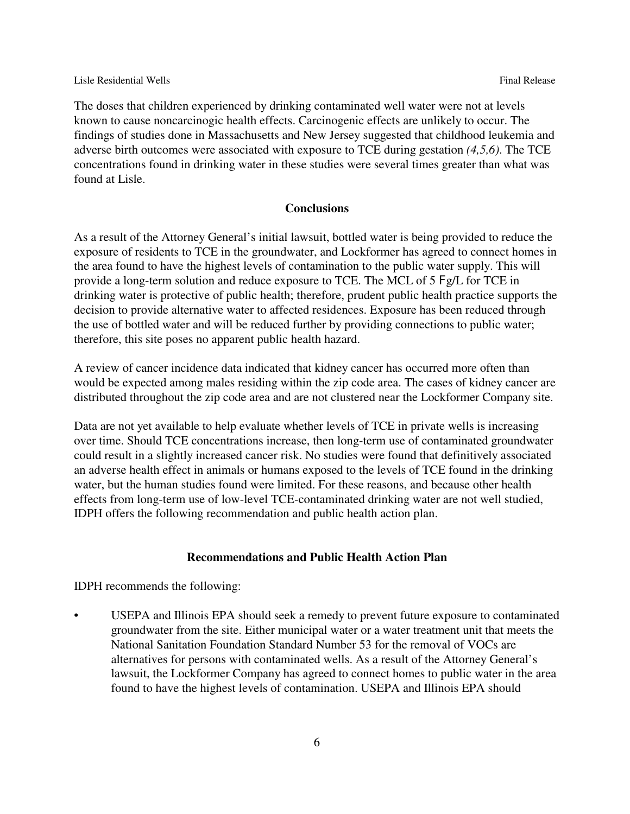The doses that children experienced by drinking contaminated well water were not at levels known to cause noncarcinogic health effects. Carcinogenic effects are unlikely to occur. The findings of studies done in Massachusetts and New Jersey suggested that childhood leukemia and adverse birth outcomes were associated with exposure to TCE during gestation *(4,5,6)*. The TCE concentrations found in drinking water in these studies were several times greater than what was found at Lisle.

#### **Conclusions**

As a result of the Attorney General's initial lawsuit, bottled water is being provided to reduce the exposure of residents to TCE in the groundwater, and Lockformer has agreed to connect homes in the area found to have the highest levels of contamination to the public water supply. This will provide a long-term solution and reduce exposure to TCE. The MCL of 5 Fg/L for TCE in drinking water is protective of public health; therefore, prudent public health practice supports the decision to provide alternative water to affected residences. Exposure has been reduced through the use of bottled water and will be reduced further by providing connections to public water; therefore, this site poses no apparent public health hazard.

A review of cancer incidence data indicated that kidney cancer has occurred more often than would be expected among males residing within the zip code area. The cases of kidney cancer are distributed throughout the zip code area and are not clustered near the Lockformer Company site.

Data are not yet available to help evaluate whether levels of TCE in private wells is increasing over time. Should TCE concentrations increase, then long-term use of contaminated groundwater could result in a slightly increased cancer risk. No studies were found that definitively associated an adverse health effect in animals or humans exposed to the levels of TCE found in the drinking water, but the human studies found were limited. For these reasons, and because other health effects from long-term use of low-level TCE-contaminated drinking water are not well studied, IDPH offers the following recommendation and public health action plan.

#### **Recommendations and Public Health Action Plan**

IDPH recommends the following:

• USEPA and Illinois EPA should seek a remedy to prevent future exposure to contaminated groundwater from the site. Either municipal water or a water treatment unit that meets the National Sanitation Foundation Standard Number 53 for the removal of VOCs are alternatives for persons with contaminated wells. As a result of the Attorney General's lawsuit, the Lockformer Company has agreed to connect homes to public water in the area found to have the highest levels of contamination. USEPA and Illinois EPA should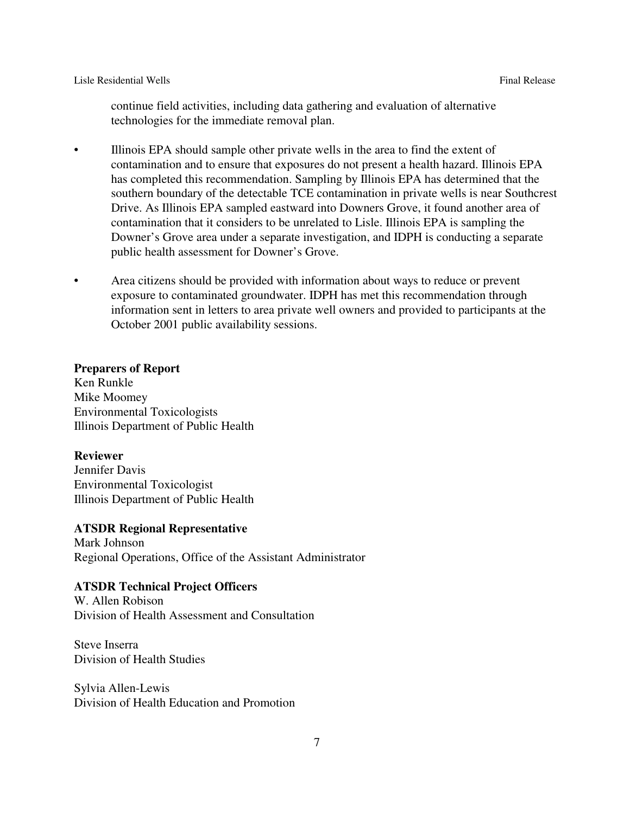Lisle Residential Wells **Final Release** Final Release **Final Release** 

continue field activities, including data gathering and evaluation of alternative technologies for the immediate removal plan.

- Illinois EPA should sample other private wells in the area to find the extent of contamination and to ensure that exposures do not present a health hazard. Illinois EPA has completed this recommendation. Sampling by Illinois EPA has determined that the southern boundary of the detectable TCE contamination in private wells is near Southcrest Drive. As Illinois EPA sampled eastward into Downers Grove, it found another area of contamination that it considers to be unrelated to Lisle. Illinois EPA is sampling the Downer's Grove area under a separate investigation, and IDPH is conducting a separate public health assessment for Downer's Grove.
- Area citizens should be provided with information about ways to reduce or prevent exposure to contaminated groundwater. IDPH has met this recommendation through information sent in letters to area private well owners and provided to participants at the October 2001 public availability sessions.

#### **Preparers of Report**

Ken Runkle Mike Moomey Environmental Toxicologists Illinois Department of Public Health

#### **Reviewer**

Jennifer Davis Environmental Toxicologist Illinois Department of Public Health

#### **ATSDR Regional Representative**

Mark Johnson Regional Operations, Office of the Assistant Administrator

#### **ATSDR Technical Project Officers**

W. Allen Robison Division of Health Assessment and Consultation

Steve Inserra Division of Health Studies

Sylvia Allen-Lewis Division of Health Education and Promotion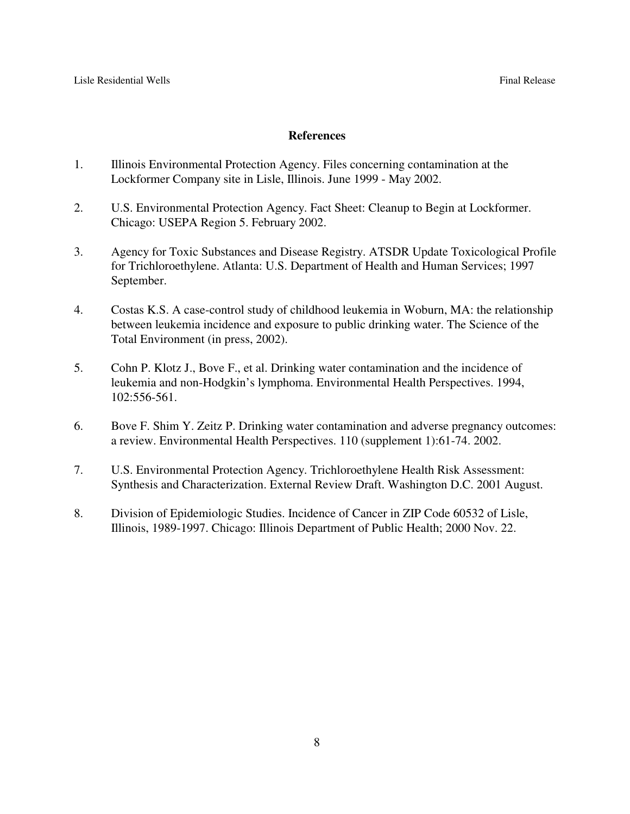#### **References**

- 1. Illinois Environmental Protection Agency. Files concerning contamination at the Lockformer Company site in Lisle, Illinois. June 1999 - May 2002.
- 2. U.S. Environmental Protection Agency. Fact Sheet: Cleanup to Begin at Lockformer. Chicago: USEPA Region 5. February 2002.
- 3. Agency for Toxic Substances and Disease Registry. ATSDR Update Toxicological Profile for Trichloroethylene. Atlanta: U.S. Department of Health and Human Services; 1997 September.
- 4. Costas K.S. A case-control study of childhood leukemia in Woburn, MA: the relationship between leukemia incidence and exposure to public drinking water. The Science of the Total Environment (in press, 2002).
- 5. Cohn P. Klotz J., Bove F., et al. Drinking water contamination and the incidence of leukemia and non-Hodgkin's lymphoma. Environmental Health Perspectives. 1994, 102:556-561.
- 6. Bove F. Shim Y. Zeitz P. Drinking water contamination and adverse pregnancy outcomes: a review. Environmental Health Perspectives. 110 (supplement 1):61-74. 2002.
- 7. U.S. Environmental Protection Agency. Trichloroethylene Health Risk Assessment: Synthesis and Characterization. External Review Draft. Washington D.C. 2001 August.
- 8. Division of Epidemiologic Studies. Incidence of Cancer in ZIP Code 60532 of Lisle, Illinois, 1989-1997. Chicago: Illinois Department of Public Health; 2000 Nov. 22.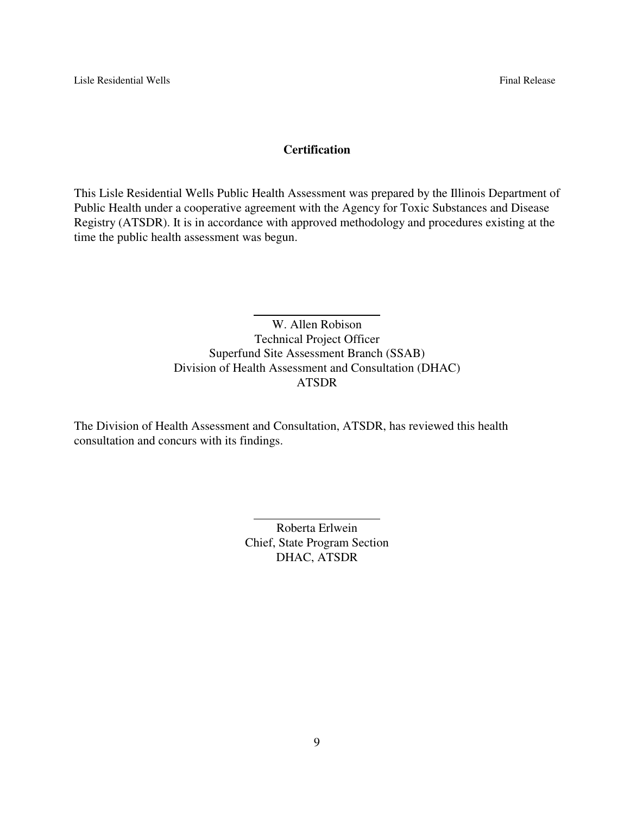#### **Certification**

This Lisle Residential Wells Public Health Assessment was prepared by the Illinois Department of Public Health under a cooperative agreement with the Agency for Toxic Substances and Disease Registry (ATSDR). It is in accordance with approved methodology and procedures existing at the time the public health assessment was begun.

> W. Allen Robison Technical Project Officer Superfund Site Assessment Branch (SSAB) Division of Health Assessment and Consultation (DHAC) ATSDR

The Division of Health Assessment and Consultation, ATSDR, has reviewed this health consultation and concurs with its findings.

 $\overline{a}$ 

 $\overline{a}$ 

Roberta Erlwein Chief, State Program Section DHAC, ATSDR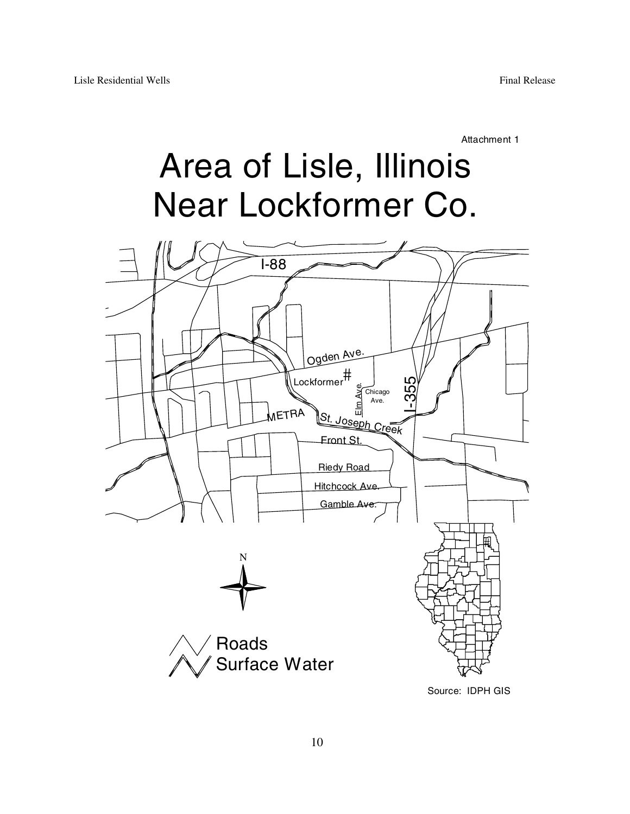Attachment 1

# Area of Lisle, Illinois Near Lockformer Co.

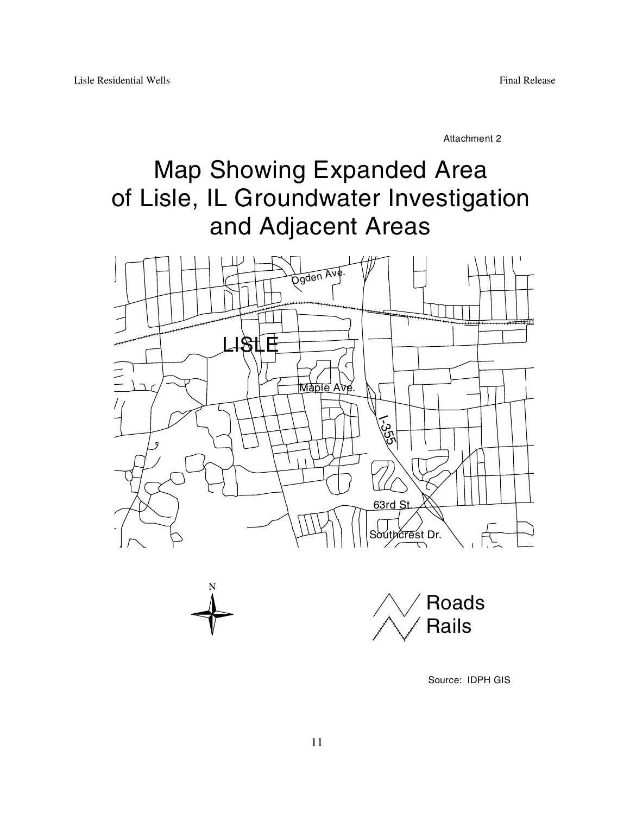Attachment 2

# Map Showing Expanded Area of Lisle, IL Groundwater Investigation and Adjacent Areas





Source: IDPH GIS

N